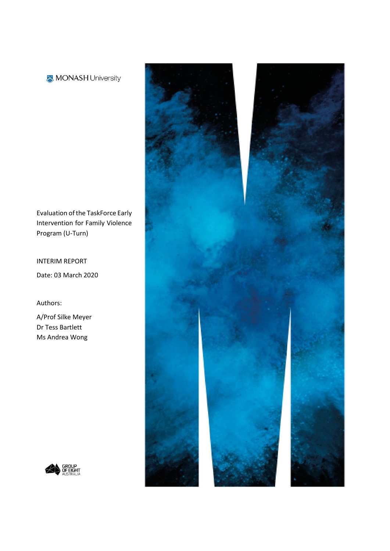### MONASH University

Evaluation of the TaskForce Early Intervention for Family Violence Program (U-Turn)

INTERIM REPORT Date: 03 March 2020

Authors:

A/Prof Silke Meyer Dr Tess Bartlett Ms Andrea Wong



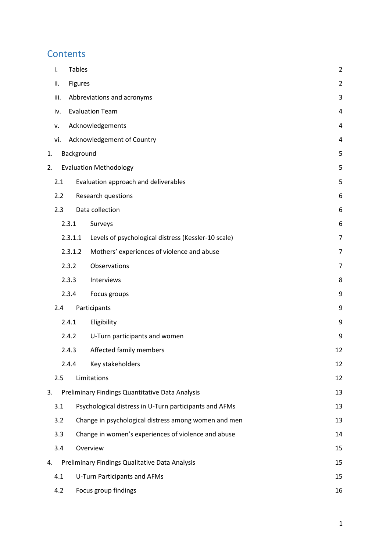# **Contents**

|    | i.               | <b>Tables</b>  |                                                        | $\overline{2}$ |
|----|------------------|----------------|--------------------------------------------------------|----------------|
|    | ii.              | <b>Figures</b> |                                                        | $\overline{2}$ |
|    | iii.             |                | Abbreviations and acronyms                             | 3              |
|    | iv.              |                | <b>Evaluation Team</b>                                 | 4              |
|    | ۷.               |                | Acknowledgements                                       | 4              |
|    | vi.              |                | Acknowledgement of Country                             | 4              |
| 1. |                  | Background     |                                                        | 5              |
| 2. |                  |                | <b>Evaluation Methodology</b>                          | 5              |
|    | 2.1              |                | Evaluation approach and deliverables                   | 5              |
|    | $2.2\phantom{0}$ |                | Research questions                                     | 6              |
|    | 2.3              |                | Data collection                                        | 6              |
|    |                  | 2.3.1          | Surveys                                                | 6              |
|    |                  | 2.3.1.1        | Levels of psychological distress (Kessler-10 scale)    | $\overline{7}$ |
|    |                  | 2.3.1.2        | Mothers' experiences of violence and abuse             | $\overline{7}$ |
|    |                  | 2.3.2          | Observations                                           | 7              |
|    |                  | 2.3.3          | Interviews                                             | 8              |
|    |                  | 2.3.4          | Focus groups                                           | 9              |
|    | 2.4              |                | Participants                                           | 9              |
|    |                  | 2.4.1          | Eligibility                                            | 9              |
|    |                  | 2.4.2          | U-Turn participants and women                          | 9              |
|    |                  | 2.4.3          | Affected family members                                | 12             |
|    |                  | 2.4.4          | Key stakeholders                                       | 12             |
|    | 2.5              |                | Limitations                                            | 12             |
| 3. |                  |                | Preliminary Findings Quantitative Data Analysis        | 13             |
|    | 3.1              |                | Psychological distress in U-Turn participants and AFMs | 13             |
|    | 3.2              |                | Change in psychological distress among women and men   | 13             |
|    | 3.3              |                | Change in women's experiences of violence and abuse    | 14             |
|    | 3.4              |                | Overview                                               | 15             |
| 4. |                  |                | Preliminary Findings Qualitative Data Analysis         | 15             |
|    | 4.1              |                | U-Turn Participants and AFMs                           | 15             |
|    | 4.2              |                | Focus group findings                                   | 16             |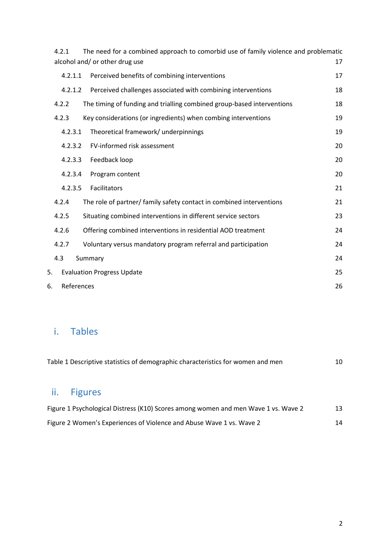|    | 4.2.1      | The need for a combined approach to comorbid use of family violence and problematic<br>alcohol and/ or other drug use | 17 |
|----|------------|-----------------------------------------------------------------------------------------------------------------------|----|
|    | 4.2.1.1    | Perceived benefits of combining interventions                                                                         | 17 |
|    | 4.2.1.2    | Perceived challenges associated with combining interventions                                                          | 18 |
|    | 4.2.2      | The timing of funding and trialling combined group-based interventions                                                | 18 |
|    | 4.2.3      | Key considerations (or ingredients) when combing interventions                                                        | 19 |
|    | 4.2.3.1    | Theoretical framework/ underpinnings                                                                                  | 19 |
|    | 4.2.3.2    | FV-informed risk assessment                                                                                           | 20 |
|    | 4.2.3.3    | Feedback loop                                                                                                         | 20 |
|    | 4.2.3.4    | Program content                                                                                                       | 20 |
|    | 4.2.3.5    | Facilitators                                                                                                          | 21 |
|    | 4.2.4      | The role of partner/ family safety contact in combined interventions                                                  | 21 |
|    | 4.2.5      | Situating combined interventions in different service sectors                                                         | 23 |
|    | 4.2.6      | Offering combined interventions in residential AOD treatment                                                          | 24 |
|    | 4.2.7      | Voluntary versus mandatory program referral and participation                                                         | 24 |
|    | 4.3        | Summary                                                                                                               | 24 |
| 5. |            | <b>Evaluation Progress Update</b>                                                                                     | 25 |
| 6. | References |                                                                                                                       | 26 |

# <span id="page-2-0"></span>i. Tables

| Table 1 Descriptive statistics of demographic characteristics for women and men |             |  |  |
|---------------------------------------------------------------------------------|-------------|--|--|
|                                                                                 | ii. Figures |  |  |

<span id="page-2-1"></span>

| Figure 1 Psychological Distress (K10) Scores among women and men Wave 1 vs. Wave 2 |  |
|------------------------------------------------------------------------------------|--|
| Figure 2 Women's Experiences of Violence and Abuse Wave 1 vs. Wave 2               |  |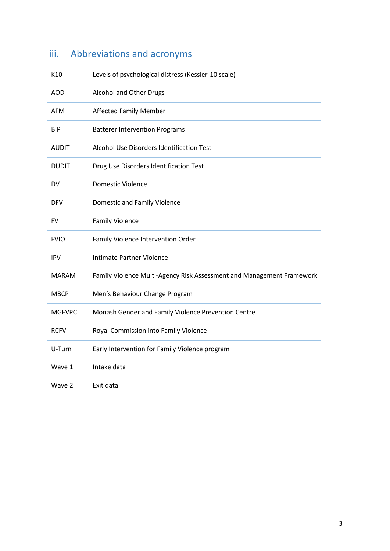<span id="page-3-0"></span>

| K10           | Levels of psychological distress (Kessler-10 scale)                   |
|---------------|-----------------------------------------------------------------------|
| AOD           | Alcohol and Other Drugs                                               |
| <b>AFM</b>    | <b>Affected Family Member</b>                                         |
| <b>BIP</b>    | <b>Batterer Intervention Programs</b>                                 |
| <b>AUDIT</b>  | Alcohol Use Disorders Identification Test                             |
| <b>DUDIT</b>  | Drug Use Disorders Identification Test                                |
| <b>DV</b>     | <b>Domestic Violence</b>                                              |
| <b>DFV</b>    | Domestic and Family Violence                                          |
| FV            | <b>Family Violence</b>                                                |
| <b>FVIO</b>   | Family Violence Intervention Order                                    |
| <b>IPV</b>    | <b>Intimate Partner Violence</b>                                      |
| <b>MARAM</b>  | Family Violence Multi-Agency Risk Assessment and Management Framework |
| <b>MBCP</b>   | Men's Behaviour Change Program                                        |
| <b>MGFVPC</b> | Monash Gender and Family Violence Prevention Centre                   |
| <b>RCFV</b>   | Royal Commission into Family Violence                                 |
| U-Turn        | Early Intervention for Family Violence program                        |
| Wave 1        | Intake data                                                           |
| Wave 2        | Exit data                                                             |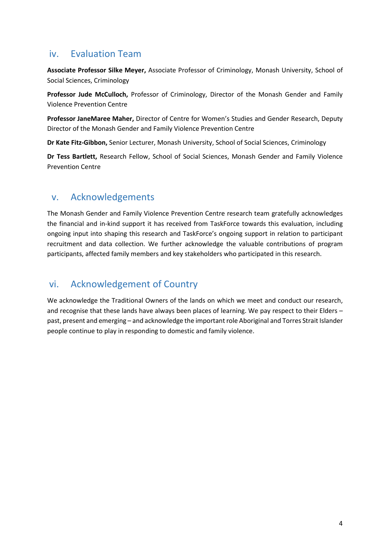## <span id="page-4-0"></span>iv. Evaluation Team

**Associate Professor Silke Meyer,** Associate Professor of Criminology, Monash University, School of Social Sciences, Criminology

**Professor Jude McCulloch,** Professor of Criminology, Director of the Monash Gender and Family Violence Prevention Centre

**Professor JaneMaree Maher,** Director of Centre for Women's Studies and Gender Research, Deputy Director of the Monash Gender and Family Violence Prevention Centre

**Dr Kate Fitz-Gibbon,** Senior Lecturer, Monash University, School of Social Sciences, Criminology

**Dr Tess Bartlett,** Research Fellow, School of Social Sciences, Monash Gender and Family Violence Prevention Centre

## <span id="page-4-1"></span>v. Acknowledgements

The Monash Gender and Family Violence Prevention Centre research team gratefully acknowledges the financial and in-kind support it has received from TaskForce towards this evaluation, including ongoing input into shaping this research and TaskForce's ongoing support in relation to participant recruitment and data collection. We further acknowledge the valuable contributions of program participants, affected family members and key stakeholders who participated in this research.

# <span id="page-4-2"></span>vi. Acknowledgement of Country

We acknowledge the Traditional Owners of the lands on which we meet and conduct our research, and recognise that these lands have always been places of learning. We pay respect to their Elders – past, present and emerging – and acknowledge the important role Aboriginal and Torres Strait Islander people continue to play in responding to domestic and family violence.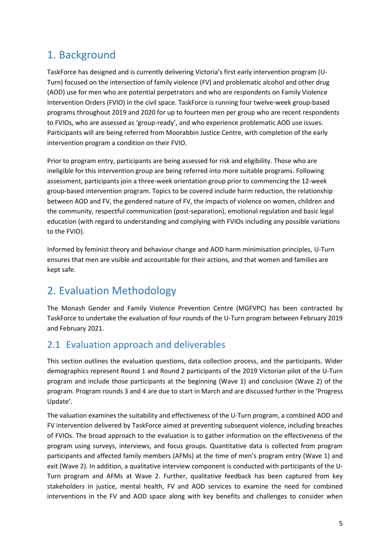# <span id="page-5-0"></span>1. Background

TaskForce has designed and is currently delivering Victoria's first early intervention program (U-Turn) focused on the intersection of family violence (FV) and problematic alcohol and other drug (AOD) use for men who are potential perpetrators and who are respondents on Family Violence Intervention Orders (FVIO) in the civil space. TaskForce is running four twelve-week group-based programs throughout 2019 and 2020 for up to fourteen men per group who are recent respondents to FVIOs, who are assessed as 'group-ready', and who experience problematic AOD use issues. Participants will are being referred from Moorabbin Justice Centre, with completion of the early intervention program a condition on their FVIO.

Prior to program entry, participants are being assessed for risk and eligibility. Those who are ineligible for this intervention group are being referred into more suitable programs. Following assessment, participants join a three-week orientation group prior to commencing the 12-week group-based intervention program. Topics to be covered include harm reduction, the relationship between AOD and FV, the gendered nature of FV, the impacts of violence on women, children and the community, respectful communication (post-separation), emotional regulation and basic legal education (with regard to understanding and complying with FVIOs including any possible variations to the FVIO).

Informed by feminist theory and behaviour change and AOD harm minimisation principles, U-Turn ensures that men are visible and accountable for their actions, and that women and families are kept safe.

# <span id="page-5-1"></span>2. Evaluation Methodology

The Monash Gender and Family Violence Prevention Centre (MGFVPC) has been contracted by TaskForce to undertake the evaluation of four rounds of the U-Turn program between February 2019 and February 2021.

# <span id="page-5-2"></span>2.1 Evaluation approach and deliverables

This section outlines the evaluation questions, data collection process, and the participants. Wider demographics represent Round 1 and Round 2 participants of the 2019 Victorian pilot of the U-Turn program and include those participants at the beginning (Wave 1) and conclusion (Wave 2) of the program. Program rounds 3 and 4 are due to start in March and are discussed further in the 'Progress Update'.

The valuation examines the suitability and effectiveness of the U-Turn program, a combined AOD and FV intervention delivered by TaskForce aimed at preventing subsequent violence, including breaches of FVIOs. The broad approach to the evaluation is to gather information on the effectiveness of the program using surveys, interviews, and focus groups. Quantitative data is collected from program participants and affected family members (AFMs) at the time of men's program entry (Wave 1) and exit (Wave 2). In addition, a qualitative interview component is conducted with participants of the U-Turn program and AFMs at Wave 2. Further, qualitative feedback has been captured from key stakeholders in justice, mental health, FV and AOD services to examine the need for combined interventions in the FV and AOD space along with key benefits and challenges to consider when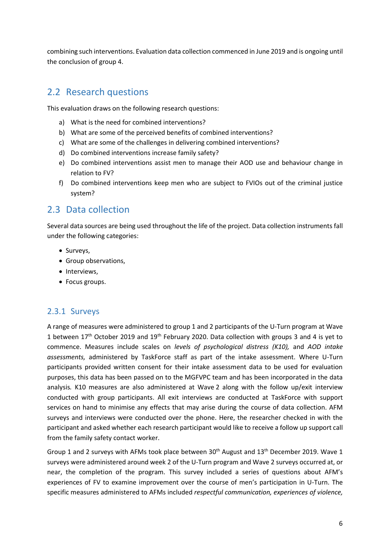combining such interventions. Evaluation data collection commenced in June 2019 and is ongoing until the conclusion of group 4.

# <span id="page-6-0"></span>2.2 Research questions

This evaluation draws on the following research questions:

- a) What is the need for combined interventions?
- b) What are some of the perceived benefits of combined interventions?
- c) What are some of the challenges in delivering combined interventions?
- d) Do combined interventions increase family safety?
- e) Do combined interventions assist men to manage their AOD use and behaviour change in relation to FV?
- f) Do combined interventions keep men who are subject to FVIOs out of the criminal justice system?

# <span id="page-6-1"></span>2.3 Data collection

Several data sources are being used throughout the life of the project. Data collection instruments fall under the following categories:

- Surveys,
- Group observations,
- Interviews,
- Focus groups.

### <span id="page-6-2"></span>2.3.1 Surveys

A range of measures were administered to group 1 and 2 participants of the U-Turn program at Wave 1 between  $17<sup>th</sup>$  October 2019 and  $19<sup>th</sup>$  February 2020. Data collection with groups 3 and 4 is yet to commence. Measures include scales on *levels of psychological distress (K10),* and *AOD intake assessments,* administered by TaskForce staff as part of the intake assessment. Where U-Turn participants provided written consent for their intake assessment data to be used for evaluation purposes, this data has been passed on to the MGFVPC team and has been incorporated in the data analysis*.* K10 measures are also administered at Wave 2 along with the follow up/exit interview conducted with group participants. All exit interviews are conducted at TaskForce with support services on hand to minimise any effects that may arise during the course of data collection. AFM surveys and interviews were conducted over the phone. Here, the researcher checked in with the participant and asked whether each research participant would like to receive a follow up support call from the family safety contact worker.

Group 1 and 2 surveys with AFMs took place between  $30<sup>th</sup>$  August and  $13<sup>th</sup>$  December 2019. Wave 1 surveys were administered around week 2 of the U-Turn program and Wave 2 surveys occurred at, or near, the completion of the program. This survey included a series of questions about AFM's experiences of FV to examine improvement over the course of men's participation in U-Turn. The specific measures administered to AFMs included *respectful communication, experiences of violence,*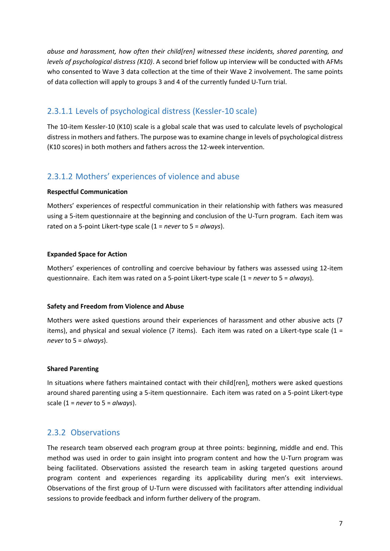*abuse and harassment, how often their child[ren] witnessed these incidents, shared parenting, and levels of psychological distress (K10)*. A second brief follow up interview will be conducted with AFMs who consented to Wave 3 data collection at the time of their Wave 2 involvement. The same points of data collection will apply to groups 3 and 4 of the currently funded U-Turn trial.

### <span id="page-7-0"></span>2.3.1.1 Levels of psychological distress (Kessler-10 scale)

The 10-item Kessler-10 (K10) scale is a global scale that was used to calculate levels of psychological distress in mothers and fathers. The purpose was to examine change in levels of psychological distress (K10 scores) in both mothers and fathers across the 12-week intervention.

### <span id="page-7-1"></span>2.3.1.2 Mothers' experiences of violence and abuse

#### **Respectful Communication**

Mothers' experiences of respectful communication in their relationship with fathers was measured using a 5-item questionnaire at the beginning and conclusion of the U-Turn program. Each item was rated on a 5-point Likert-type scale (1 = *never* to 5 = *always*).

#### **Expanded Space for Action**

Mothers' experiences of controlling and coercive behaviour by fathers was assessed using 12-item questionnaire. Each item was rated on a 5-point Likert-type scale (1 = *never* to 5 = *always*).

#### **Safety and Freedom from Violence and Abuse**

Mothers were asked questions around their experiences of harassment and other abusive acts (7 items), and physical and sexual violence (7 items). Each item was rated on a Likert-type scale ( $1 =$ *never* to 5 = *always*).

#### **Shared Parenting**

In situations where fathers maintained contact with their child[ren], mothers were asked questions around shared parenting using a 5-item questionnaire. Each item was rated on a 5-point Likert-type scale (1 = *never* to 5 = *always*).

### <span id="page-7-2"></span>2.3.2 Observations

The research team observed each program group at three points: beginning, middle and end. This method was used in order to gain insight into program content and how the U-Turn program was being facilitated. Observations assisted the research team in asking targeted questions around program content and experiences regarding its applicability during men's exit interviews. Observations of the first group of U-Turn were discussed with facilitators after attending individual sessions to provide feedback and inform further delivery of the program.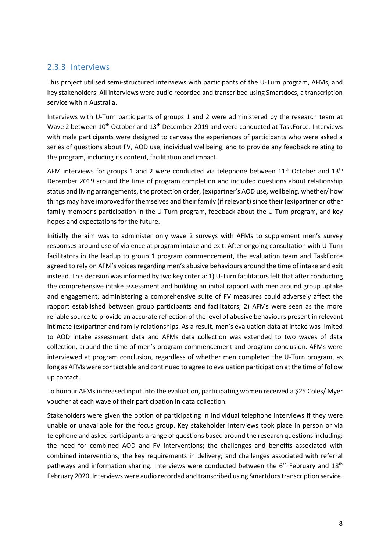### <span id="page-8-0"></span>2.3.3 Interviews

This project utilised semi-structured interviews with participants of the U-Turn program, AFMs, and key stakeholders. All interviews were audio recorded and transcribed using Smartdocs, a transcription service within Australia.

Interviews with U-Turn participants of groups 1 and 2 were administered by the research team at Wave 2 between 10<sup>th</sup> October and 13<sup>th</sup> December 2019 and were conducted at TaskForce. Interviews with male participants were designed to canvass the experiences of participants who were asked a series of questions about FV, AOD use, individual wellbeing, and to provide any feedback relating to the program, including its content, facilitation and impact.

AFM interviews for groups 1 and 2 were conducted via telephone between  $11<sup>th</sup>$  October and  $13<sup>th</sup>$ December 2019 around the time of program completion and included questions about relationship status and living arrangements, the protection order, (ex)partner's AOD use, wellbeing, whether/ how things may have improved for themselves and their family (if relevant) since their (ex)partner or other family member's participation in the U-Turn program, feedback about the U-Turn program, and key hopes and expectations for the future.

Initially the aim was to administer only wave 2 surveys with AFMs to supplement men's survey responses around use of violence at program intake and exit. After ongoing consultation with U-Turn facilitators in the leadup to group 1 program commencement, the evaluation team and TaskForce agreed to rely on AFM's voices regarding men's abusive behaviours around the time of intake and exit instead. This decision was informed by two key criteria: 1) U-Turn facilitators felt that after conducting the comprehensive intake assessment and building an initial rapport with men around group uptake and engagement, administering a comprehensive suite of FV measures could adversely affect the rapport established between group participants and facilitators; 2) AFMs were seen as the more reliable source to provide an accurate reflection of the level of abusive behaviours present in relevant intimate (ex)partner and family relationships. As a result, men's evaluation data at intake was limited to AOD intake assessment data and AFMs data collection was extended to two waves of data collection, around the time of men's program commencement and program conclusion. AFMs were interviewed at program conclusion, regardless of whether men completed the U-Turn program, as long as AFMs were contactable and continued to agree to evaluation participation at the time of follow up contact.

To honour AFMs increased input into the evaluation, participating women received a \$25 Coles/ Myer voucher at each wave of their participation in data collection.

Stakeholders were given the option of participating in individual telephone interviews if they were unable or unavailable for the focus group. Key stakeholder interviews took place in person or via telephone and asked participants a range of questions based around the research questions including: the need for combined AOD and FV interventions; the challenges and benefits associated with combined interventions; the key requirements in delivery; and challenges associated with referral pathways and information sharing. Interviews were conducted between the 6<sup>th</sup> February and 18<sup>th</sup> February 2020. Interviews were audio recorded and transcribed using Smartdocs transcription service.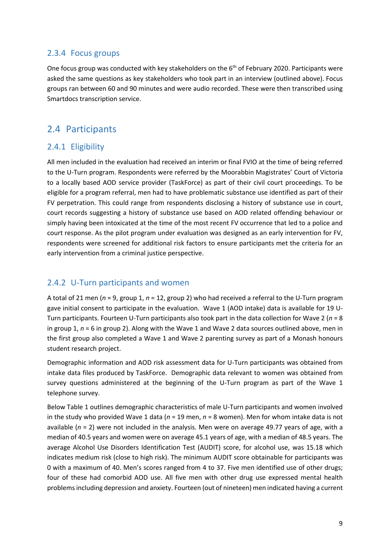#### <span id="page-9-0"></span>2.3.4 Focus groups

One focus group was conducted with key stakeholders on the 6<sup>th</sup> of February 2020. Participants were asked the same questions as key stakeholders who took part in an interview (outlined above). Focus groups ran between 60 and 90 minutes and were audio recorded. These were then transcribed using Smartdocs transcription service.

# <span id="page-9-1"></span>2.4 Participants

### <span id="page-9-2"></span>2.4.1 Eligibility

All men included in the evaluation had received an interim or final FVIO at the time of being referred to the U-Turn program. Respondents were referred by the Moorabbin Magistrates' Court of Victoria to a locally based AOD service provider (TaskForce) as part of their civil court proceedings. To be eligible for a program referral, men had to have problematic substance use identified as part of their FV perpetration. This could range from respondents disclosing a history of substance use in court, court records suggesting a history of substance use based on AOD related offending behaviour or simply having been intoxicated at the time of the most recent FV occurrence that led to a police and court response. As the pilot program under evaluation was designed as an early intervention for FV, respondents were screened for additional risk factors to ensure participants met the criteria for an early intervention from a criminal justice perspective.

### <span id="page-9-3"></span>2.4.2 U-Turn participants and women

A total of 21 men (*n* = 9, group 1, *n* = 12, group 2) who had received a referral to the U-Turn program gave initial consent to participate in the evaluation. Wave 1 (AOD intake) data is available for 19 U-Turn participants. Fourteen U-Turn participants also took part in the data collection for Wave 2 (*n* = 8 in group 1, *n* = 6 in group 2). Along with the Wave 1 and Wave 2 data sources outlined above, men in the first group also completed a Wave 1 and Wave 2 parenting survey as part of a Monash honours student research project.

Demographic information and AOD risk assessment data for U-Turn participants was obtained from intake data files produced by TaskForce. Demographic data relevant to women was obtained from survey questions administered at the beginning of the U-Turn program as part of the Wave 1 telephone survey.

Below Table 1 outlines demographic characteristics of male U-Turn participants and women involved in the study who provided Wave 1 data (*n* = 19 men, *n* = 8 women). Men for whom intake data is not available (*n* = 2) were not included in the analysis. Men were on average 49.77 years of age, with a median of 40.5 years and women were on average 45.1 years of age, with a median of 48.5 years. The average Alcohol Use Disorders Identification Test (AUDIT) score, for alcohol use, was 15.18 which indicates medium risk (close to high risk). The minimum AUDIT score obtainable for participants was 0 with a maximum of 40. Men's scores ranged from 4 to 37. Five men identified use of other drugs; four of these had comorbid AOD use. All five men with other drug use expressed mental health problems including depression and anxiety. Fourteen (out of nineteen) men indicated having a current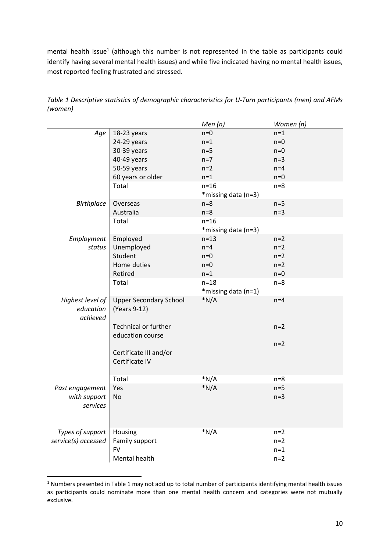mental health issue<sup>1</sup> (although this number is not represented in the table as participants could identify having several mental health issues) and while five indicated having no mental health issues, most reported feeling frustrated and stressed.

|                     |                               | Men(n)              | Women (n) |
|---------------------|-------------------------------|---------------------|-----------|
| Age                 | 18-23 years                   | $n=0$               | $n=1$     |
|                     | 24-29 years                   | $n=1$               | $n=0$     |
|                     | 30-39 years                   | $n=5$               | $n=0$     |
|                     | 40-49 years                   | $n=7$               | $n=3$     |
|                     | 50-59 years                   | $n=2$               | $n=4$     |
|                     | 60 years or older             | $n=1$               | $n=0$     |
|                     | Total                         | $n=16$              | $n=8$     |
|                     |                               | *missing data (n=3) |           |
| <b>Birthplace</b>   | Overseas                      | $n=8$               | $n=5$     |
|                     | Australia                     | $n=8$               | $n=3$     |
|                     | Total                         | $n=16$              |           |
|                     |                               | *missing data (n=3) |           |
| Employment          | Employed                      | $n = 13$            | $n=2$     |
| status              | Unemployed                    | $n=4$               | $n=2$     |
|                     | Student                       | $n=0$               | $n=2$     |
|                     | Home duties                   | $n=0$               | $n=2$     |
|                     | Retired                       | $n=1$               | $n=0$     |
|                     | Total                         | $n=18$              | $n=8$     |
|                     |                               | *missing data (n=1) |           |
| Highest level of    | <b>Upper Secondary School</b> | $*N/A$              | $n=4$     |
| education           | (Years 9-12)                  |                     |           |
| achieved            |                               |                     |           |
|                     | <b>Technical or further</b>   |                     | $n=2$     |
|                     | education course              |                     |           |
|                     |                               |                     | $n=2$     |
|                     | Certificate III and/or        |                     |           |
|                     | Certificate IV                |                     |           |
|                     |                               |                     |           |
|                     | Total                         | $*N/A$              | $n=8$     |
| Past engagement     | Yes                           | $*N/A$              | $n=5$     |
| with support        | No                            |                     | $n=3$     |
| services            |                               |                     |           |
|                     |                               |                     |           |
|                     |                               | $*N/A$              |           |
| Types of support    | Housing                       |                     | $n=2$     |
| service(s) accessed | Family support<br><b>FV</b>   |                     | $n=2$     |
|                     |                               |                     | $n=1$     |
|                     | Mental health                 |                     | $n=2$     |

<span id="page-10-0"></span>*Table 1 Descriptive statistics of demographic characteristics for U-Turn participants (men) and AFMs (women)*

**.** 

<sup>1</sup> Numbers presented in Table 1 may not add up to total number of participants identifying mental health issues as participants could nominate more than one mental health concern and categories were not mutually exclusive.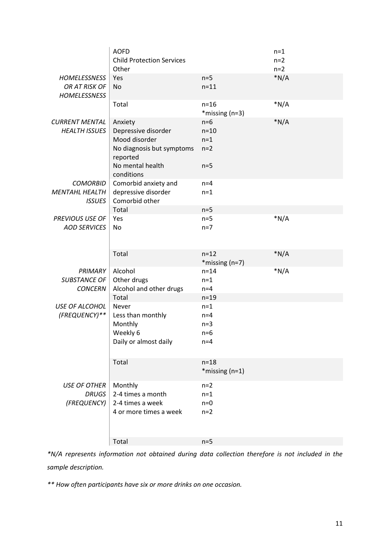|                                                             | <b>AOFD</b><br><b>Child Protection Services</b><br>Other                                                                   |                                            | $n=1$<br>$n=2$<br>$n=2$ |
|-------------------------------------------------------------|----------------------------------------------------------------------------------------------------------------------------|--------------------------------------------|-------------------------|
| <b>HOMELESSNESS</b><br>OR AT RISK OF<br><b>HOMELESSNESS</b> | Yes<br>No                                                                                                                  | $n=5$<br>$n=11$                            | $*N/A$                  |
|                                                             | Total                                                                                                                      | $n=16$<br>*missing (n=3)                   | $*N/A$                  |
| <b>CURRENT MENTAL</b><br><b>HEALTH ISSUES</b>               | Anxiety<br>Depressive disorder<br>Mood disorder<br>No diagnosis but symptoms<br>reported<br>No mental health<br>conditions | $n=6$<br>$n=10$<br>$n=1$<br>$n=2$<br>$n=5$ | $*N/A$                  |
| <b>COMORBID</b><br><b>MENTAHL HEALTH</b>                    | Comorbid anxiety and<br>depressive disorder                                                                                | $n=4$<br>$n=1$                             |                         |
| <b>ISSUES</b>                                               | Comorbid other                                                                                                             |                                            |                         |
| <b>PREVIOUS USE OF</b>                                      | Total<br>Yes                                                                                                               | $n=5$<br>$n=5$                             | $*N/A$                  |
| <b>AOD SERVICES</b>                                         | No                                                                                                                         | $n=7$                                      |                         |
|                                                             | Total                                                                                                                      | $n=12$<br>*missing (n=7)                   | $*N/A$                  |
| <b>PRIMARY</b><br>SUBSTANCE OF<br><b>CONCERN</b>            | Alcohol<br>Other drugs<br>Alcohol and other drugs                                                                          | $n = 14$<br>$n=1$<br>$n=4$                 | $*N/A$                  |
|                                                             | Total                                                                                                                      | $n=19$                                     |                         |
| USE OF ALCOHOL<br>(FREQUENCY)**                             | Never<br>Less than monthly<br>Monthly<br>Weekly 6<br>Daily or almost daily                                                 | $n=1$<br>$n=4$<br>$n=3$<br>$n=6$<br>$n=4$  |                         |
|                                                             | Total                                                                                                                      | $n=18$<br>$*$ missing (n=1)                |                         |
| <b>USE OF OTHER</b><br><b>DRUGS</b><br>(FREQUENCY)          | Monthly<br>2-4 times a month<br>2-4 times a week<br>4 or more times a week                                                 | $n=2$<br>$n=1$<br>$n=0$<br>$n=2$           |                         |
|                                                             | Total                                                                                                                      | $n=5$                                      |                         |
|                                                             |                                                                                                                            |                                            |                         |

*\*N/A represents information not obtained during data collection therefore is not included in the sample description.* 

*\*\* How often participants have six or more drinks on one occasion.*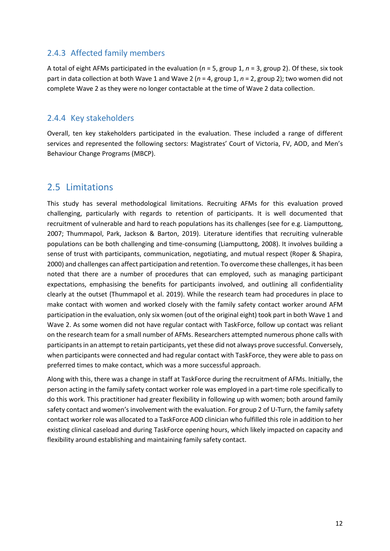#### <span id="page-12-0"></span>2.4.3 Affected family members

A total of eight AFMs participated in the evaluation (*n* = 5, group 1, *n* = 3, group 2). Of these, six took part in data collection at both Wave 1 and Wave 2 (*n* = 4, group 1, *n* = 2, group 2); two women did not complete Wave 2 as they were no longer contactable at the time of Wave 2 data collection.

#### <span id="page-12-1"></span>2.4.4 Key stakeholders

Overall, ten key stakeholders participated in the evaluation. These included a range of different services and represented the following sectors: Magistrates' Court of Victoria, FV, AOD, and Men's Behaviour Change Programs (MBCP).

## <span id="page-12-2"></span>2.5 Limitations

This study has several methodological limitations. Recruiting AFMs for this evaluation proved challenging, particularly with regards to retention of participants. It is well documented that recruitment of vulnerable and hard to reach populations has its challenges (see for e.g. Liamputtong, 2007; Thummapol, Park, Jackson & Barton, 2019). Literature identifies that recruiting vulnerable populations can be both challenging and time-consuming (Liamputtong, 2008). It involves building a sense of trust with participants, communication, negotiating, and mutual respect (Roper & Shapira, 2000) and challenges can affect participation and retention. To overcome these challenges, it has been noted that there are a number of procedures that can employed, such as managing participant expectations, emphasising the benefits for participants involved, and outlining all confidentiality clearly at the outset (Thummapol et al. 2019). While the research team had procedures in place to make contact with women and worked closely with the family safety contact worker around AFM participation in the evaluation, only six women (out of the original eight) took part in both Wave 1 and Wave 2. As some women did not have regular contact with TaskForce, follow up contact was reliant on the research team for a small number of AFMs. Researchers attempted numerous phone calls with participants in an attempt to retain participants, yet these did not always prove successful. Conversely, when participants were connected and had regular contact with TaskForce, they were able to pass on preferred times to make contact, which was a more successful approach.

Along with this, there was a change in staff at TaskForce during the recruitment of AFMs. Initially, the person acting in the family safety contact worker role was employed in a part-time role specifically to do this work. This practitioner had greater flexibility in following up with women; both around family safety contact and women's involvement with the evaluation. For group 2 of U-Turn, the family safety contact worker role was allocated to a TaskForce AOD clinician who fulfilled this role in addition to her existing clinical caseload and during TaskForce opening hours, which likely impacted on capacity and flexibility around establishing and maintaining family safety contact.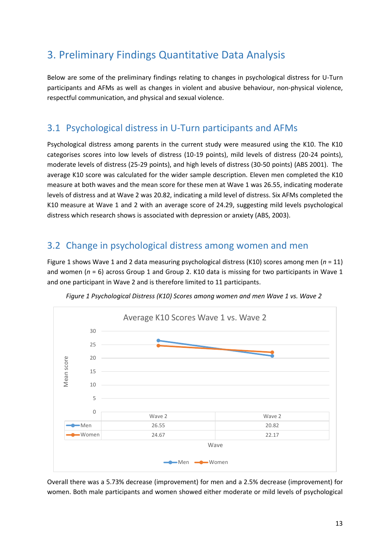# <span id="page-13-0"></span>3. Preliminary Findings Quantitative Data Analysis

Below are some of the preliminary findings relating to changes in psychological distress for U-Turn participants and AFMs as well as changes in violent and abusive behaviour, non-physical violence, respectful communication, and physical and sexual violence.

## <span id="page-13-1"></span>3.1 Psychological distress in U-Turn participants and AFMs

Psychological distress among parents in the current study were measured using the K10. The K10 categorises scores into low levels of distress (10-19 points), mild levels of distress (20-24 points), moderate levels of distress (25-29 points), and high levels of distress (30-50 points) (ABS 2001). The average K10 score was calculated for the wider sample description. Eleven men completed the K10 measure at both waves and the mean score for these men at Wave 1 was 26.55, indicating moderate levels of distress and at Wave 2 was 20.82, indicating a mild level of distress. Six AFMs completed the K10 measure at Wave 1 and 2 with an average score of 24.29, suggesting mild levels psychological distress which research shows is associated with depression or anxiety (ABS, 2003).

## <span id="page-13-2"></span>3.2 Change in psychological distress among women and men

Figure 1 shows Wave 1 and 2 data measuring psychological distress (K10) scores among men (*n* = 11) and women (*n* = 6) across Group 1 and Group 2. K10 data is missing for two participants in Wave 1 and one participant in Wave 2 and is therefore limited to 11 participants.

<span id="page-13-3"></span>

*Figure 1 Psychological Distress (K10) Scores among women and men Wave 1 vs. Wave 2*

Overall there was a 5.73% decrease (improvement) for men and a 2.5% decrease (improvement) for women. Both male participants and women showed either moderate or mild levels of psychological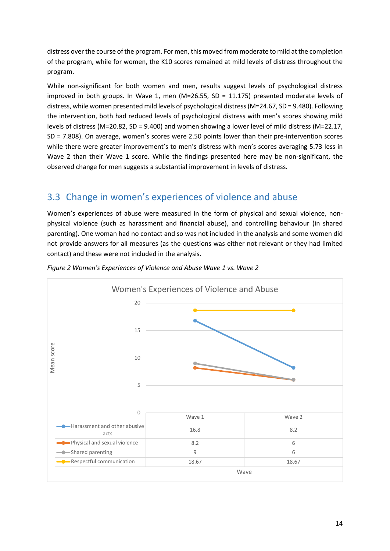distress over the course of the program. For men, this moved from moderate to mild at the completion of the program, while for women, the K10 scores remained at mild levels of distress throughout the program.

While non-significant for both women and men, results suggest levels of psychological distress improved in both groups. In Wave 1, men (M=26.55, SD = 11.175) presented moderate levels of distress, while women presented mild levels of psychological distress(M=24.67, SD = 9.480). Following the intervention, both had reduced levels of psychological distress with men's scores showing mild levels of distress (M=20.82, SD = 9.400) and women showing a lower level of mild distress (M=22.17, SD = 7.808). On average, women's scores were 2.50 points lower than their pre-intervention scores while there were greater improvement's to men's distress with men's scores averaging 5.73 less in Wave 2 than their Wave 1 score. While the findings presented here may be non-significant, the observed change for men suggests a substantial improvement in levels of distress.

# <span id="page-14-0"></span>3.3 Change in women's experiences of violence and abuse

Women's experiences of abuse were measured in the form of physical and sexual violence, nonphysical violence (such as harassment and financial abuse), and controlling behaviour (in shared parenting). One woman had no contact and so was not included in the analysis and some women did not provide answers for all measures (as the questions was either not relevant or they had limited contact) and these were not included in the analysis.



<span id="page-14-1"></span>*Figure 2 Women's Experiences of Violence and Abuse Wave 1 vs. Wave 2*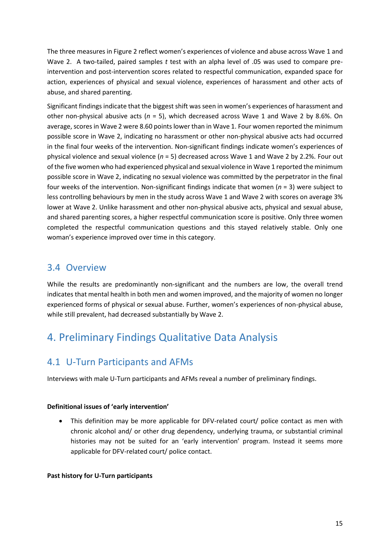The three measures in Figure 2 reflect women's experiences of violence and abuse across Wave 1 and Wave 2. A two-tailed, paired samples *t* test with an alpha level of .05 was used to compare preintervention and post-intervention scores related to respectful communication, expanded space for action, experiences of physical and sexual violence, experiences of harassment and other acts of abuse, and shared parenting.

Significant findings indicate that the biggest shift was seen in women's experiences of harassment and other non-physical abusive acts (*n* = 5), which decreased across Wave 1 and Wave 2 by 8.6%. On average, scores in Wave 2 were 8.60 points lower than in Wave 1. Four women reported the minimum possible score in Wave 2, indicating no harassment or other non-physical abusive acts had occurred in the final four weeks of the intervention. Non-significant findings indicate women's experiences of physical violence and sexual violence (*n* = 5) decreased across Wave 1 and Wave 2 by 2.2%. Four out of the five women who had experienced physical and sexual violence in Wave 1 reported the minimum possible score in Wave 2, indicating no sexual violence was committed by the perpetrator in the final four weeks of the intervention. Non-significant findings indicate that women (*n* = 3) were subject to less controlling behaviours by men in the study across Wave 1 and Wave 2 with scores on average 3% lower at Wave 2. Unlike harassment and other non-physical abusive acts, physical and sexual abuse, and shared parenting scores, a higher respectful communication score is positive. Only three women completed the respectful communication questions and this stayed relatively stable. Only one woman's experience improved over time in this category.

## <span id="page-15-0"></span>3.4 Overview

While the results are predominantly non-significant and the numbers are low, the overall trend indicates that mental health in both men and women improved, and the majority of women no longer experienced forms of physical or sexual abuse. Further, women's experiences of non-physical abuse, while still prevalent, had decreased substantially by Wave 2.

# <span id="page-15-1"></span>4. Preliminary Findings Qualitative Data Analysis

## <span id="page-15-2"></span>4.1 U-Turn Participants and AFMs

Interviews with male U-Turn participants and AFMs reveal a number of preliminary findings.

#### **Definitional issues of 'early intervention'**

• This definition may be more applicable for DFV-related court/ police contact as men with chronic alcohol and/ or other drug dependency, underlying trauma, or substantial criminal histories may not be suited for an 'early intervention' program. Instead it seems more applicable for DFV-related court/ police contact.

#### **Past history for U-Turn participants**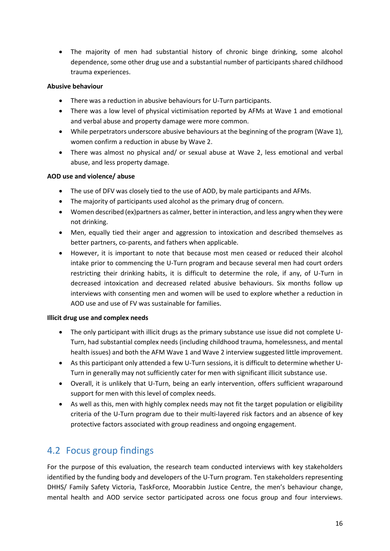• The majority of men had substantial history of chronic binge drinking, some alcohol dependence, some other drug use and a substantial number of participants shared childhood trauma experiences.

#### **Abusive behaviour**

- There was a reduction in abusive behaviours for U-Turn participants.
- There was a low level of physical victimisation reported by AFMs at Wave 1 and emotional and verbal abuse and property damage were more common.
- While perpetrators underscore abusive behaviours at the beginning of the program (Wave 1), women confirm a reduction in abuse by Wave 2.
- There was almost no physical and/ or sexual abuse at Wave 2, less emotional and verbal abuse, and less property damage.

#### **AOD use and violence/ abuse**

- The use of DFV was closely tied to the use of AOD, by male participants and AFMs.
- The majority of participants used alcohol as the primary drug of concern.
- Women described (ex)partners as calmer, better in interaction, and less angry when they were not drinking.
- Men, equally tied their anger and aggression to intoxication and described themselves as better partners, co-parents, and fathers when applicable.
- However, it is important to note that because most men ceased or reduced their alcohol intake prior to commencing the U-Turn program and because several men had court orders restricting their drinking habits, it is difficult to determine the role, if any, of U-Turn in decreased intoxication and decreased related abusive behaviours. Six months follow up interviews with consenting men and women will be used to explore whether a reduction in AOD use and use of FV was sustainable for families.

#### **Illicit drug use and complex needs**

- The only participant with illicit drugs as the primary substance use issue did not complete U-Turn, had substantial complex needs (including childhood trauma, homelessness, and mental health issues) and both the AFM Wave 1 and Wave 2 interview suggested little improvement.
- As this participant only attended a few U-Turn sessions, it is difficult to determine whether U-Turn in generally may not sufficiently cater for men with significant illicit substance use.
- Overall, it is unlikely that U-Turn, being an early intervention, offers sufficient wraparound support for men with this level of complex needs.
- As well as this, men with highly complex needs may not fit the target population or eligibility criteria of the U-Turn program due to their multi-layered risk factors and an absence of key protective factors associated with group readiness and ongoing engagement.

## <span id="page-16-0"></span>4.2 Focus group findings

For the purpose of this evaluation, the research team conducted interviews with key stakeholders identified by the funding body and developers of the U-Turn program. Ten stakeholders representing DHHS/ Family Safety Victoria, TaskForce, Moorabbin Justice Centre, the men's behaviour change, mental health and AOD service sector participated across one focus group and four interviews.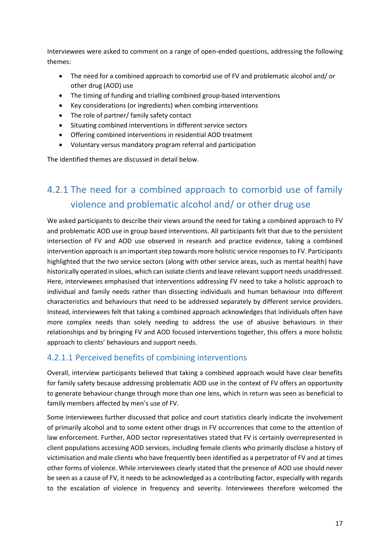Interviewees were asked to comment on a range of open-ended questions, addressing the following themes:

- The need for a combined approach to comorbid use of FV and problematic alcohol and/ or other drug (AOD) use
- The timing of funding and trialling combined group-based interventions
- Key considerations (or ingredients) when combing interventions
- The role of partner/ family safety contact
- Situating combined interventions in different service sectors
- Offering combined interventions in residential AOD treatment
- Voluntary versus mandatory program referral and participation

The identified themes are discussed in detail below.

# <span id="page-17-0"></span>4.2.1 The need for a combined approach to comorbid use of family violence and problematic alcohol and/ or other drug use

We asked participants to describe their views around the need for taking a combined approach to FV and problematic AOD use in group based interventions. All participants felt that due to the persistent intersection of FV and AOD use observed in research and practice evidence, taking a combined intervention approach is an important step towards more holistic service responses to FV. Participants highlighted that the two service sectors (along with other service areas, such as mental health) have historically operated in siloes, which can isolate clients and leave relevant support needs unaddressed. Here, interviewees emphasised that interventions addressing FV need to take a holistic approach to individual and family needs rather than dissecting individuals and human behaviour into different characteristics and behaviours that need to be addressed separately by different service providers. Instead, interviewees felt that taking a combined approach acknowledges that individuals often have more complex needs than solely needing to address the use of abusive behaviours in their relationships and by bringing FV and AOD focused interventions together, this offers a more holistic approach to clients' behaviours and support needs.

### <span id="page-17-1"></span>4.2.1.1 Perceived benefits of combining interventions

Overall, interview participants believed that taking a combined approach would have clear benefits for family safety because addressing problematic AOD use in the context of FV offers an opportunity to generate behaviour change through more than one lens, which in return was seen as beneficial to family members affected by men's use of FV.

Some interviewees further discussed that police and court statistics clearly indicate the involvement of primarily alcohol and to some extent other drugs in FV occurrences that come to the attention of law enforcement. Further, AOD sector representatives stated that FV is certainly overrepresented in client populations accessing AOD services, including female clients who primarily disclose a history of victimisation and male clients who have frequently been identified as a perpetrator of FV and at times other forms of violence. While interviewees clearly stated that the presence of AOD use should never be seen as a cause of FV, it needs to be acknowledged as a contributing factor, especially with regards to the escalation of violence in frequency and severity. Interviewees therefore welcomed the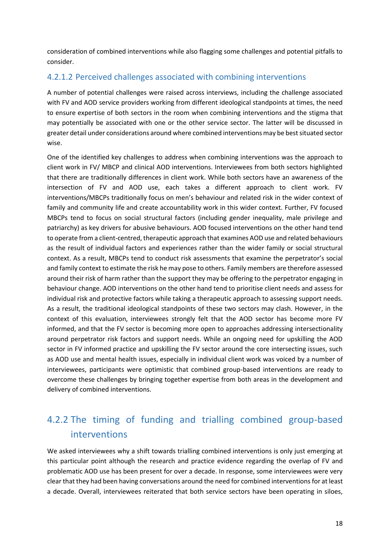consideration of combined interventions while also flagging some challenges and potential pitfalls to consider.

#### <span id="page-18-0"></span>4.2.1.2 Perceived challenges associated with combining interventions

A number of potential challenges were raised across interviews, including the challenge associated with FV and AOD service providers working from different ideological standpoints at times, the need to ensure expertise of both sectors in the room when combining interventions and the stigma that may potentially be associated with one or the other service sector. The latter will be discussed in greater detail under considerations around where combined interventions may be best situated sector wise.

One of the identified key challenges to address when combining interventions was the approach to client work in FV/ MBCP and clinical AOD interventions. Interviewees from both sectors highlighted that there are traditionally differences in client work. While both sectors have an awareness of the intersection of FV and AOD use, each takes a different approach to client work. FV interventions/MBCPs traditionally focus on men's behaviour and related risk in the wider context of family and community life and create accountability work in this wider context. Further, FV focused MBCPs tend to focus on social structural factors (including gender inequality, male privilege and patriarchy) as key drivers for abusive behaviours. AOD focused interventions on the other hand tend to operate from a client-centred, therapeutic approach that examines AOD use and related behaviours as the result of individual factors and experiences rather than the wider family or social structural context. As a result, MBCPs tend to conduct risk assessments that examine the perpetrator's social and family context to estimate the risk he may pose to others. Family members are therefore assessed around their risk of harm rather than the support they may be offering to the perpetrator engaging in behaviour change. AOD interventions on the other hand tend to prioritise client needs and assess for individual risk and protective factors while taking a therapeutic approach to assessing support needs. As a result, the traditional ideological standpoints of these two sectors may clash. However, in the context of this evaluation, interviewees strongly felt that the AOD sector has become more FV informed, and that the FV sector is becoming more open to approaches addressing intersectionality around perpetrator risk factors and support needs. While an ongoing need for upskilling the AOD sector in FV informed practice and upskilling the FV sector around the core intersecting issues, such as AOD use and mental health issues, especially in individual client work was voiced by a number of interviewees, participants were optimistic that combined group-based interventions are ready to overcome these challenges by bringing together expertise from both areas in the development and delivery of combined interventions.

# <span id="page-18-1"></span>4.2.2 The timing of funding and trialling combined group-based interventions

We asked interviewees why a shift towards trialling combined interventions is only just emerging at this particular point although the research and practice evidence regarding the overlap of FV and problematic AOD use has been present for over a decade. In response, some interviewees were very clear that they had been having conversations around the need for combined interventions for at least a decade. Overall, interviewees reiterated that both service sectors have been operating in siloes,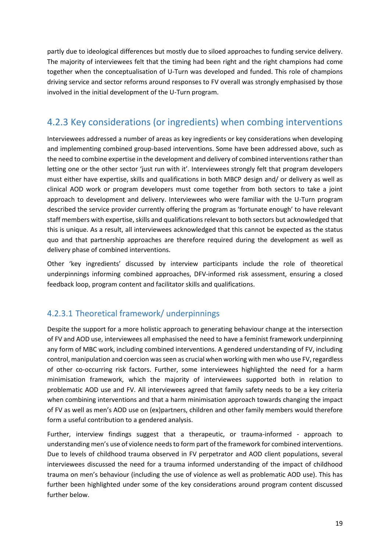partly due to ideological differences but mostly due to siloed approaches to funding service delivery. The majority of interviewees felt that the timing had been right and the right champions had come together when the conceptualisation of U-Turn was developed and funded. This role of champions driving service and sector reforms around responses to FV overall was strongly emphasised by those involved in the initial development of the U-Turn program.

# <span id="page-19-0"></span>4.2.3 Key considerations (or ingredients) when combing interventions

Interviewees addressed a number of areas as key ingredients or key considerations when developing and implementing combined group-based interventions. Some have been addressed above, such as the need to combine expertise in the development and delivery of combined interventions rather than letting one or the other sector 'just run with it'. Interviewees strongly felt that program developers must either have expertise, skills and qualifications in both MBCP design and/ or delivery as well as clinical AOD work or program developers must come together from both sectors to take a joint approach to development and delivery. Interviewees who were familiar with the U-Turn program described the service provider currently offering the program as 'fortunate enough' to have relevant staff members with expertise, skills and qualifications relevant to both sectors but acknowledged that this is unique. As a result, all interviewees acknowledged that this cannot be expected as the status quo and that partnership approaches are therefore required during the development as well as delivery phase of combined interventions.

Other 'key ingredients' discussed by interview participants include the role of theoretical underpinnings informing combined approaches, DFV-informed risk assessment, ensuring a closed feedback loop, program content and facilitator skills and qualifications.

### <span id="page-19-1"></span>4.2.3.1 Theoretical framework/ underpinnings

Despite the support for a more holistic approach to generating behaviour change at the intersection of FV and AOD use, interviewees all emphasised the need to have a feminist framework underpinning any form of MBC work, including combined interventions. A gendered understanding of FV, including control, manipulation and coercion was seen as crucial when working with men who use FV, regardless of other co-occurring risk factors. Further, some interviewees highlighted the need for a harm minimisation framework, which the majority of interviewees supported both in relation to problematic AOD use and FV. All interviewees agreed that family safety needs to be a key criteria when combining interventions and that a harm minimisation approach towards changing the impact of FV as well as men's AOD use on (ex)partners, children and other family members would therefore form a useful contribution to a gendered analysis.

Further, interview findings suggest that a therapeutic, or trauma-informed - approach to understanding men's use of violence needs to form part of the framework for combined interventions. Due to levels of childhood trauma observed in FV perpetrator and AOD client populations, several interviewees discussed the need for a trauma informed understanding of the impact of childhood trauma on men's behaviour (including the use of violence as well as problematic AOD use). This has further been highlighted under some of the key considerations around program content discussed further below.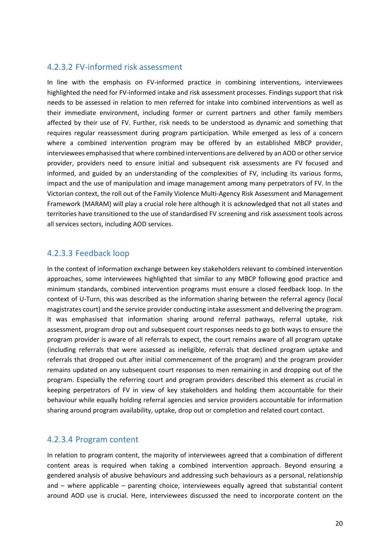#### <span id="page-20-0"></span>4.2.3.2 FV-informed risk assessment

In line with the emphasis on FV-informed practice in combining interventions, interviewees highlighted the need for FV-informed intake and risk assessment processes. Findings support that risk needs to be assessed in relation to men referred for intake into combined interventions as well as their immediate environment, including former or current partners and other family members affected by their use of FV. Further, risk needs to be understood as dynamic and something that requires regular reassessment during program participation. While emerged as less of a concern where a combined intervention program may be offered by an established MBCP provider, interviewees emphasised that where combined interventions are delivered by an AOD or other service provider, providers need to ensure initial and subsequent risk assessments are FV focused and informed, and guided by an understanding of the complexities of FV, including its various forms, impact and the use of manipulation and image management among many perpetrators of FV. In the Victorian context, the roll out of the Family Violence Multi-Agency Risk Assessment and Management Framework (MARAM) will play a crucial role here although it is acknowledged that not all states and territories have transitioned to the use of standardised FV screening and risk assessment tools across all services sectors, including AOD services.

#### <span id="page-20-1"></span>4.2.3.3 Feedback loop

In the context of information exchange between key stakeholders relevant to combined intervention approaches, some interviewees highlighted that similar to any MBCP following good practice and minimum standards, combined intervention programs must ensure a closed feedback loop. In the context of U-Turn, this was described as the information sharing between the referral agency (local magistrates court) and the service provider conducting intake assessment and delivering the program. It was emphasised that information sharing around referral pathways, referral uptake, risk assessment, program drop out and subsequent court responses needs to go both ways to ensure the program provider is aware of all referrals to expect, the court remains aware of all program uptake (including referrals that were assessed as ineligible, referrals that declined program uptake and referrals that dropped out after initial commencement of the program) and the program provider remains updated on any subsequent court responses to men remaining in and dropping out of the program. Especially the referring court and program providers described this element as crucial in keeping perpetrators of FV in view of key stakeholders and holding them accountable for their behaviour while equally holding referral agencies and service providers accountable for information sharing around program availability, uptake, drop out or completion and related court contact.

#### <span id="page-20-2"></span>4.2.3.4 Program content

In relation to program content, the majority of interviewees agreed that a combination of different content areas is required when taking a combined intervention approach. Beyond ensuring a gendered analysis of abusive behaviours and addressing such behaviours as a personal, relationship and – where applicable – parenting choice, interviewees equally agreed that substantial content around AOD use is crucial. Here, interviewees discussed the need to incorporate content on the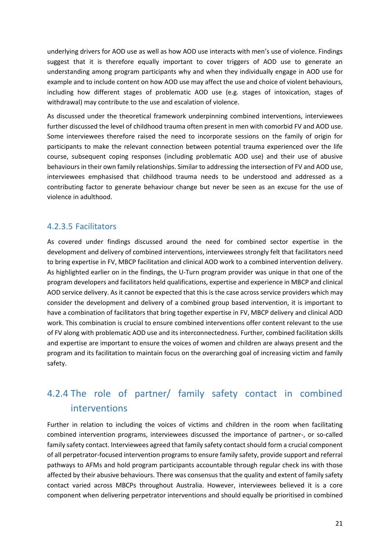underlying drivers for AOD use as well as how AOD use interacts with men's use of violence. Findings suggest that it is therefore equally important to cover triggers of AOD use to generate an understanding among program participants why and when they individually engage in AOD use for example and to include content on how AOD use may affect the use and choice of violent behaviours, including how different stages of problematic AOD use (e.g. stages of intoxication, stages of withdrawal) may contribute to the use and escalation of violence.

As discussed under the theoretical framework underpinning combined interventions, interviewees further discussed the level of childhood trauma often present in men with comorbid FV and AOD use. Some interviewees therefore raised the need to incorporate sessions on the family of origin for participants to make the relevant connection between potential trauma experienced over the life course, subsequent coping responses (including problematic AOD use) and their use of abusive behaviours in their own family relationships. Similar to addressing the intersection of FV and AOD use, interviewees emphasised that childhood trauma needs to be understood and addressed as a contributing factor to generate behaviour change but never be seen as an excuse for the use of violence in adulthood.

### <span id="page-21-0"></span>4.2.3.5 Facilitators

As covered under findings discussed around the need for combined sector expertise in the development and delivery of combined interventions, interviewees strongly felt that facilitators need to bring expertise in FV, MBCP facilitation and clinical AOD work to a combined intervention delivery. As highlighted earlier on in the findings, the U-Turn program provider was unique in that one of the program developers and facilitators held qualifications, expertise and experience in MBCP and clinical AOD service delivery. As it cannot be expected that this is the case across service providers which may consider the development and delivery of a combined group based intervention, it is important to have a combination of facilitators that bring together expertise in FV, MBCP delivery and clinical AOD work. This combination is crucial to ensure combined interventions offer content relevant to the use of FV along with problematic AOD use and its interconnectedness. Further, combined facilitation skills and expertise are important to ensure the voices of women and children are always present and the program and its facilitation to maintain focus on the overarching goal of increasing victim and family safety.

# <span id="page-21-1"></span>4.2.4 The role of partner/ family safety contact in combined interventions

Further in relation to including the voices of victims and children in the room when facilitating combined intervention programs, interviewees discussed the importance of partner-, or so-called family safety contact. Interviewees agreed that family safety contact should form a crucial component of all perpetrator-focused intervention programs to ensure family safety, provide support and referral pathways to AFMs and hold program participants accountable through regular check ins with those affected by their abusive behaviours. There was consensus that the quality and extent of family safety contact varied across MBCPs throughout Australia. However, interviewees believed it is a core component when delivering perpetrator interventions and should equally be prioritised in combined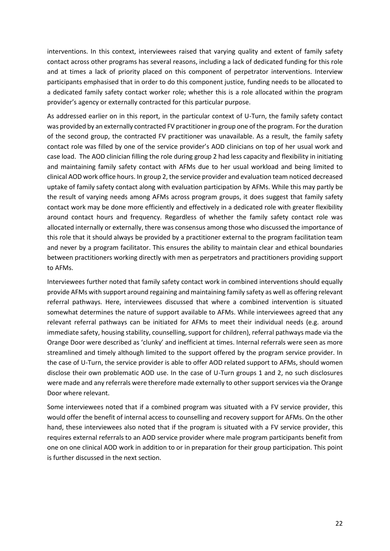interventions. In this context, interviewees raised that varying quality and extent of family safety contact across other programs has several reasons, including a lack of dedicated funding for this role and at times a lack of priority placed on this component of perpetrator interventions. Interview participants emphasised that in order to do this component justice, funding needs to be allocated to a dedicated family safety contact worker role; whether this is a role allocated within the program provider's agency or externally contracted for this particular purpose.

As addressed earlier on in this report, in the particular context of U-Turn, the family safety contact was provided by an externally contracted FV practitioner in group one of the program. For the duration of the second group, the contracted FV practitioner was unavailable. As a result, the family safety contact role was filled by one of the service provider's AOD clinicians on top of her usual work and case load. The AOD clinician filling the role during group 2 had less capacity and flexibility in initiating and maintaining family safety contact with AFMs due to her usual workload and being limited to clinical AOD work office hours. In group 2, the service provider and evaluation team noticed decreased uptake of family safety contact along with evaluation participation by AFMs. While this may partly be the result of varying needs among AFMs across program groups, it does suggest that family safety contact work may be done more efficiently and effectively in a dedicated role with greater flexibility around contact hours and frequency. Regardless of whether the family safety contact role was allocated internally or externally, there was consensus among those who discussed the importance of this role that it should always be provided by a practitioner external to the program facilitation team and never by a program facilitator. This ensures the ability to maintain clear and ethical boundaries between practitioners working directly with men as perpetrators and practitioners providing support to AFMs.

Interviewees further noted that family safety contact work in combined interventions should equally provide AFMs with support around regaining and maintaining family safety as well as offering relevant referral pathways. Here, interviewees discussed that where a combined intervention is situated somewhat determines the nature of support available to AFMs. While interviewees agreed that any relevant referral pathways can be initiated for AFMs to meet their individual needs (e.g. around immediate safety, housing stability, counselling, support for children), referral pathways made via the Orange Door were described as 'clunky' and inefficient at times. Internal referrals were seen as more streamlined and timely although limited to the support offered by the program service provider. In the case of U-Turn, the service provider is able to offer AOD related support to AFMs, should women disclose their own problematic AOD use. In the case of U-Turn groups 1 and 2, no such disclosures were made and any referrals were therefore made externally to other support services via the Orange Door where relevant.

Some interviewees noted that if a combined program was situated with a FV service provider, this would offer the benefit of internal access to counselling and recovery support for AFMs. On the other hand, these interviewees also noted that if the program is situated with a FV service provider, this requires external referrals to an AOD service provider where male program participants benefit from one on one clinical AOD work in addition to or in preparation for their group participation. This point is further discussed in the next section.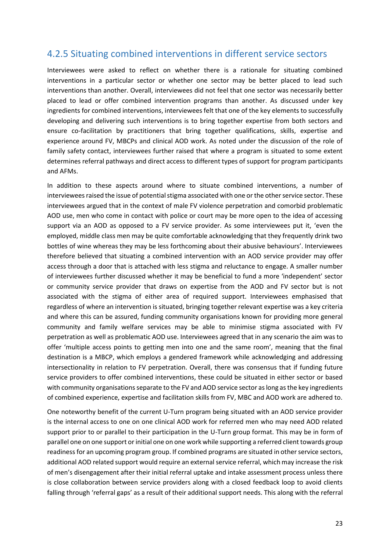### <span id="page-23-0"></span>4.2.5 Situating combined interventions in different service sectors

Interviewees were asked to reflect on whether there is a rationale for situating combined interventions in a particular sector or whether one sector may be better placed to lead such interventions than another. Overall, interviewees did not feel that one sector was necessarily better placed to lead or offer combined intervention programs than another. As discussed under key ingredients for combined interventions, interviewees felt that one of the key elements to successfully developing and delivering such interventions is to bring together expertise from both sectors and ensure co-facilitation by practitioners that bring together qualifications, skills, expertise and experience around FV, MBCPs and clinical AOD work. As noted under the discussion of the role of family safety contact, interviewees further raised that where a program is situated to some extent determines referral pathways and direct access to different types of support for program participants and AFMs.

In addition to these aspects around where to situate combined interventions, a number of interviewees raised the issue of potential stigma associated with one or the other service sector. These interviewees argued that in the context of male FV violence perpetration and comorbid problematic AOD use, men who come in contact with police or court may be more open to the idea of accessing support via an AOD as opposed to a FV service provider. As some interviewees put it, 'even the employed, middle class men may be quite comfortable acknowledging that they frequently drink two bottles of wine whereas they may be less forthcoming about their abusive behaviours'. Interviewees therefore believed that situating a combined intervention with an AOD service provider may offer access through a door that is attached with less stigma and reluctance to engage. A smaller number of interviewees further discussed whether it may be beneficial to fund a more 'independent' sector or community service provider that draws on expertise from the AOD and FV sector but is not associated with the stigma of either area of required support. Interviewees emphasised that regardless of where an intervention is situated, bringing together relevant expertise was a key criteria and where this can be assured, funding community organisations known for providing more general community and family welfare services may be able to minimise stigma associated with FV perpetration as well as problematic AOD use. Interviewees agreed that in any scenario the aim was to offer 'multiple access points to getting men into one and the same room', meaning that the final destination is a MBCP, which employs a gendered framework while acknowledging and addressing intersectionality in relation to FV perpetration. Overall, there was consensus that if funding future service providers to offer combined interventions, these could be situated in either sector or based with community organisations separate to the FV and AOD service sector as long as the key ingredients of combined experience, expertise and facilitation skills from FV, MBC and AOD work are adhered to.

One noteworthy benefit of the current U-Turn program being situated with an AOD service provider is the internal access to one on one clinical AOD work for referred men who may need AOD related support prior to or parallel to their participation in the U-Turn group format. This may be in form of parallel one on one support or initial one on one work while supporting a referred client towards group readiness for an upcoming program group. If combined programs are situated in other service sectors, additional AOD related support would require an external service referral, which may increase the risk of men's disengagement after their initial referral uptake and intake assessment process unless there is close collaboration between service providers along with a closed feedback loop to avoid clients falling through 'referral gaps' as a result of their additional support needs. This along with the referral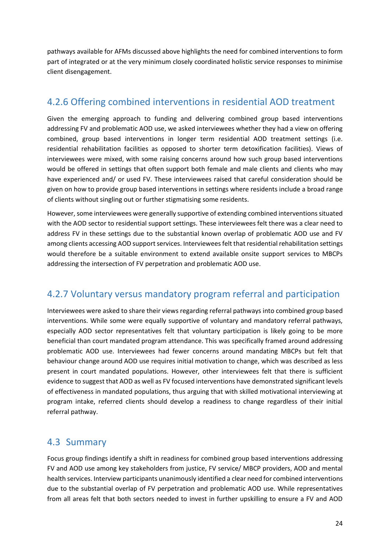pathways available for AFMs discussed above highlights the need for combined interventions to form part of integrated or at the very minimum closely coordinated holistic service responses to minimise client disengagement.

## <span id="page-24-0"></span>4.2.6 Offering combined interventions in residential AOD treatment

Given the emerging approach to funding and delivering combined group based interventions addressing FV and problematic AOD use, we asked interviewees whether they had a view on offering combined, group based interventions in longer term residential AOD treatment settings (i.e. residential rehabilitation facilities as opposed to shorter term detoxification facilities). Views of interviewees were mixed, with some raising concerns around how such group based interventions would be offered in settings that often support both female and male clients and clients who may have experienced and/ or used FV. These interviewees raised that careful consideration should be given on how to provide group based interventions in settings where residents include a broad range of clients without singling out or further stigmatising some residents.

However, some interviewees were generally supportive of extending combined interventions situated with the AOD sector to residential support settings. These interviewees felt there was a clear need to address FV in these settings due to the substantial known overlap of problematic AOD use and FV among clients accessing AOD support services. Interviewees felt that residential rehabilitation settings would therefore be a suitable environment to extend available onsite support services to MBCPs addressing the intersection of FV perpetration and problematic AOD use.

## <span id="page-24-1"></span>4.2.7 Voluntary versus mandatory program referral and participation

Interviewees were asked to share their views regarding referral pathways into combined group based interventions. While some were equally supportive of voluntary and mandatory referral pathways, especially AOD sector representatives felt that voluntary participation is likely going to be more beneficial than court mandated program attendance. This was specifically framed around addressing problematic AOD use. Interviewees had fewer concerns around mandating MBCPs but felt that behaviour change around AOD use requires initial motivation to change, which was described as less present in court mandated populations. However, other interviewees felt that there is sufficient evidence to suggest that AOD as well as FV focused interventions have demonstrated significant levels of effectiveness in mandated populations, thus arguing that with skilled motivational interviewing at program intake, referred clients should develop a readiness to change regardless of their initial referral pathway.

## <span id="page-24-2"></span>4.3 Summary

Focus group findings identify a shift in readiness for combined group based interventions addressing FV and AOD use among key stakeholders from justice, FV service/ MBCP providers, AOD and mental health services. Interview participants unanimously identified a clear need for combined interventions due to the substantial overlap of FV perpetration and problematic AOD use. While representatives from all areas felt that both sectors needed to invest in further upskilling to ensure a FV and AOD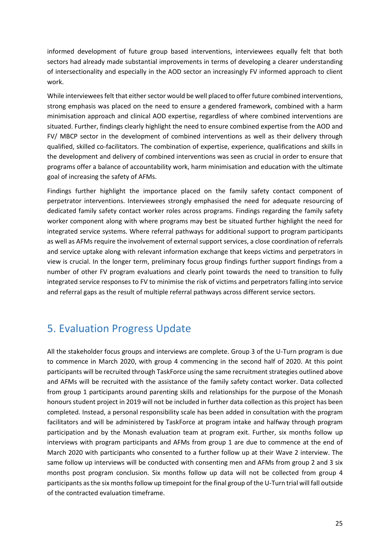informed development of future group based interventions, interviewees equally felt that both sectors had already made substantial improvements in terms of developing a clearer understanding of intersectionality and especially in the AOD sector an increasingly FV informed approach to client work.

While interviewees felt that either sector would be well placed to offer future combined interventions, strong emphasis was placed on the need to ensure a gendered framework, combined with a harm minimisation approach and clinical AOD expertise, regardless of where combined interventions are situated. Further, findings clearly highlight the need to ensure combined expertise from the AOD and FV/ MBCP sector in the development of combined interventions as well as their delivery through qualified, skilled co-facilitators. The combination of expertise, experience, qualifications and skills in the development and delivery of combined interventions was seen as crucial in order to ensure that programs offer a balance of accountability work, harm minimisation and education with the ultimate goal of increasing the safety of AFMs.

Findings further highlight the importance placed on the family safety contact component of perpetrator interventions. Interviewees strongly emphasised the need for adequate resourcing of dedicated family safety contact worker roles across programs. Findings regarding the family safety worker component along with where programs may best be situated further highlight the need for integrated service systems. Where referral pathways for additional support to program participants as well as AFMs require the involvement of external support services, a close coordination of referrals and service uptake along with relevant information exchange that keeps victims and perpetrators in view is crucial. In the longer term, preliminary focus group findings further support findings from a number of other FV program evaluations and clearly point towards the need to transition to fully integrated service responses to FV to minimise the risk of victims and perpetrators falling into service and referral gaps as the result of multiple referral pathways across different service sectors.

# <span id="page-25-0"></span>5. Evaluation Progress Update

All the stakeholder focus groups and interviews are complete. Group 3 of the U-Turn program is due to commence in March 2020, with group 4 commencing in the second half of 2020. At this point participants will be recruited through TaskForce using the same recruitment strategies outlined above and AFMs will be recruited with the assistance of the family safety contact worker. Data collected from group 1 participants around parenting skills and relationships for the purpose of the Monash honours student project in 2019 will not be included in further data collection as this project has been completed. Instead, a personal responsibility scale has been added in consultation with the program facilitators and will be administered by TaskForce at program intake and halfway through program participation and by the Monash evaluation team at program exit. Further, six months follow up interviews with program participants and AFMs from group 1 are due to commence at the end of March 2020 with participants who consented to a further follow up at their Wave 2 interview. The same follow up interviews will be conducted with consenting men and AFMs from group 2 and 3 six months post program conclusion. Six months follow up data will not be collected from group 4 participants as the six months follow up timepoint for the final group of the U-Turn trial will fall outside of the contracted evaluation timeframe.